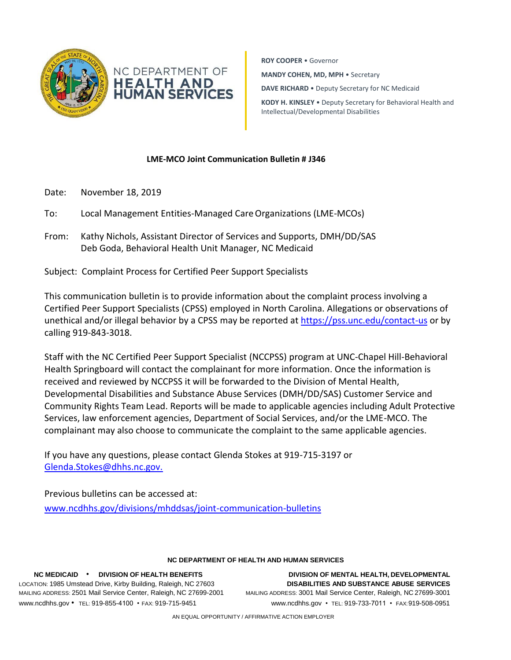

**ROY COOPER** • Governor **MANDY COHEN, MD, MPH** • Secretary **DAVE RICHARD** • Deputy Secretary for NC Medicaid **KODY H. KINSLEY** • Deputy Secretary for Behavioral Health and

Intellectual/Developmental Disabilities

## **LME-MCO Joint Communication Bulletin # J346**

- Date: November 18, 2019
- To: Local Management Entities-Managed CareOrganizations (LME-MCOs)
- From: Kathy Nichols, Assistant Director of Services and Supports, DMH/DD/SAS Deb Goda, Behavioral Health Unit Manager, NC Medicaid

Subject: Complaint Process for Certified Peer Support Specialists

This communication bulletin is to provide information about the complaint process involving a Certified Peer Support Specialists (CPSS) employed in North Carolina. Allegations or observations of unethical and/or illegal behavior by a CPSS may be reported at<https://pss.unc.edu/contact-us> or by calling 919-843-3018.

Staff with the NC Certified Peer Support Specialist (NCCPSS) program at UNC-Chapel Hill-Behavioral Health Springboard will contact the complainant for more information. Once the information is received and reviewed by NCCPSS it will be forwarded to the Division of Mental Health, Developmental Disabilities and Substance Abuse Services (DMH/DD/SAS) Customer Service and Community Rights Team Lead. Reports will be made to applicable agencies including Adult Protective Services, law enforcement agencies, Department of Social Services, and/or the LME-MCO. The complainant may also choose to communicate the complaint to the same applicable agencies.

If you have any questions, please contact Glenda Stokes at 919-715-3197 or [Glenda.Stokes@dhhs.nc.gov.](mailto:Glenda.Stokes@dhhs.nc.gov.)

Previous bulletins can be accessed at: [www.ncdhhs.gov/divisions/mhddsas/joint-communication-bulletins](http://www.ncdhhs.gov/divisions/mhddsas/joint-communication-bulletins)

## **NC DEPARTMENT OF HEALTH AND HUMAN SERVICES**

**NC MEDICAID** • **DIVISION OF HEALTH BENEFITS DIVISION OF MENTAL HEALTH, DEVELOPMENTAL** LOCATION: 1985 Umstead Drive, Kirby Building, Raleigh, NC 27603 **DISABILITIES AND SUBSTANCE ABUSE SERVICES** MAILING ADDRESS: 2501 Mail Service Center, Raleigh, NC 27699-2001 MAILING ADDRESS: 3001 Mail Service Center, Raleigh, NC 27699-3001 [www.ncdhhs.gov](http://www.ncdhhs.gov/) • TEL: 919-855-4100 • FAX: 919-715-9451 [www.ncdhhs.gov](http://www.ncdhhs.gov/) • TEL: 919-733-7011 • FAX:919-508-0951

AN EQUAL OPPORTUNITY / AFFIRMATIVE ACTION EMPLOYER